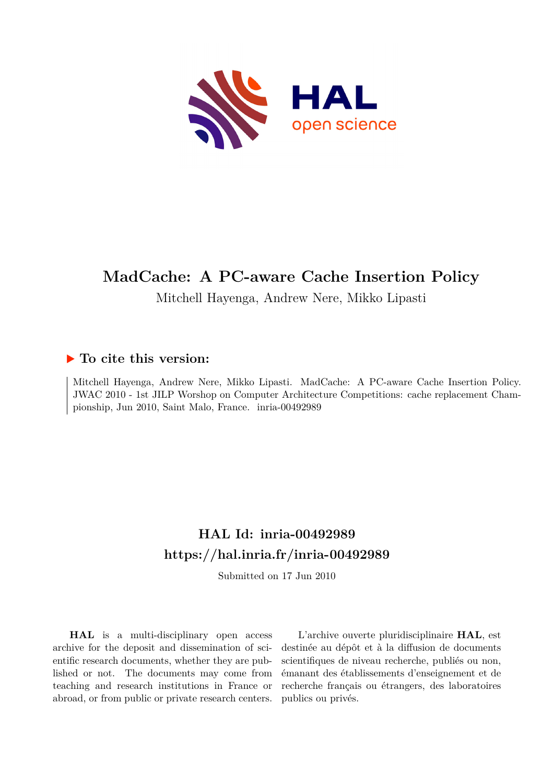

# **MadCache: A PC-aware Cache Insertion Policy**

Mitchell Hayenga, Andrew Nere, Mikko Lipasti

### **To cite this version:**

Mitchell Hayenga, Andrew Nere, Mikko Lipasti. MadCache: A PC-aware Cache Insertion Policy. JWAC 2010 - 1st JILP Worshop on Computer Architecture Competitions: cache replacement Championship, Jun 2010, Saint Malo, France. inria-00492989

## **HAL Id: inria-00492989 <https://hal.inria.fr/inria-00492989>**

Submitted on 17 Jun 2010

**HAL** is a multi-disciplinary open access archive for the deposit and dissemination of scientific research documents, whether they are published or not. The documents may come from teaching and research institutions in France or abroad, or from public or private research centers.

L'archive ouverte pluridisciplinaire **HAL**, est destinée au dépôt et à la diffusion de documents scientifiques de niveau recherche, publiés ou non, émanant des établissements d'enseignement et de recherche français ou étrangers, des laboratoires publics ou privés.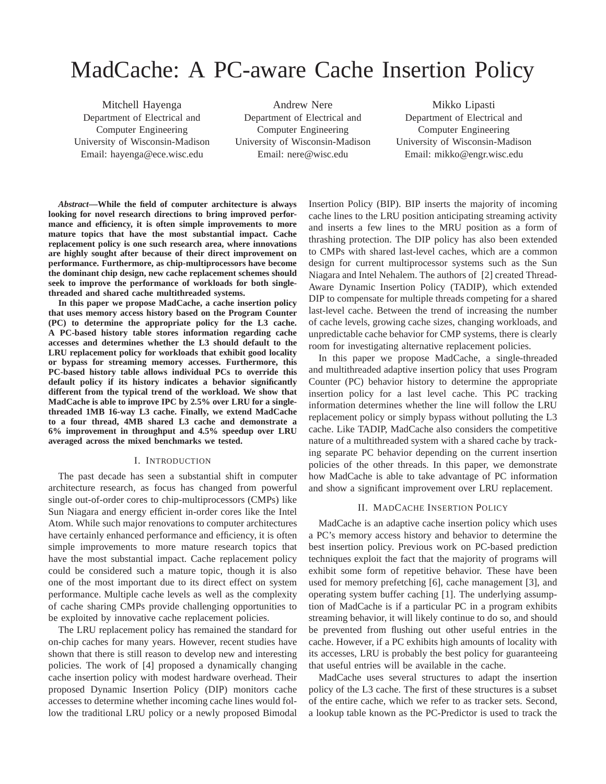# MadCache: A PC-aware Cache Insertion Policy

Mitchell Hayenga Department of Electrical and Computer Engineering University of Wisconsin-Madison Email: hayenga@ece.wisc.edu

Andrew Nere Department of Electrical and Computer Engineering University of Wisconsin-Madison Email: nere@wisc.edu

Mikko Lipasti Department of Electrical and Computer Engineering University of Wisconsin-Madison Email: mikko@engr.wisc.edu

*Abstract***—While the field of computer architecture is always looking for novel research directions to bring improved performance and efficiency, it is often simple improvements to more mature topics that have the most substantial impact. Cache replacement policy is one such research area, where innovations are highly sought after because of their direct improvement on performance. Furthermore, as chip-multiprocessors have become the dominant chip design, new cache replacement schemes should seek to improve the performance of workloads for both singlethreaded and shared cache multithreaded systems.**

**In this paper we propose MadCache, a cache insertion policy that uses memory access history based on the Program Counter (PC) to determine the appropriate policy for the L3 cache. A PC-based history table stores information regarding cache accesses and determines whether the L3 should default to the LRU replacement policy for workloads that exhibit good locality or bypass for streaming memory accesses. Furthermore, this PC-based history table allows individual PCs to override this default policy if its history indicates a behavior significantly different from the typical trend of the workload. We show that MadCache is able to improve IPC by 2.5% over LRU for a singlethreaded 1MB 16-way L3 cache. Finally, we extend MadCache to a four thread, 4MB shared L3 cache and demonstrate a 6% improvement in throughput and 4.5% speedup over LRU averaged across the mixed benchmarks we tested.**

#### I. INTRODUCTION

The past decade has seen a substantial shift in computer architecture research, as focus has changed from powerful single out-of-order cores to chip-multiprocessors (CMPs) like Sun Niagara and energy efficient in-order cores like the Intel Atom. While such major renovations to computer architectures have certainly enhanced performance and efficiency, it is often simple improvements to more mature research topics that have the most substantial impact. Cache replacement policy could be considered such a mature topic, though it is also one of the most important due to its direct effect on system performance. Multiple cache levels as well as the complexity of cache sharing CMPs provide challenging opportunities to be exploited by innovative cache replacement policies.

The LRU replacement policy has remained the standard for on-chip caches for many years. However, recent studies have shown that there is still reason to develop new and interesting policies. The work of [4] proposed a dynamically changing cache insertion policy with modest hardware overhead. Their proposed Dynamic Insertion Policy (DIP) monitors cache accesses to determine whether incoming cache lines would follow the traditional LRU policy or a newly proposed Bimodal

Insertion Policy (BIP). BIP inserts the majority of incoming cache lines to the LRU position anticipating streaming activity and inserts a few lines to the MRU position as a form of thrashing protection. The DIP policy has also been extended to CMPs with shared last-level caches, which are a common design for current multiprocessor systems such as the Sun Niagara and Intel Nehalem. The authors of [2] created Thread-Aware Dynamic Insertion Policy (TADIP), which extended DIP to compensate for multiple threads competing for a shared last-level cache. Between the trend of increasing the number of cache levels, growing cache sizes, changing workloads, and unpredictable cache behavior for CMP systems, there is clearly room for investigating alternative replacement policies.

In this paper we propose MadCache, a single-threaded and multithreaded adaptive insertion policy that uses Program Counter (PC) behavior history to determine the appropriate insertion policy for a last level cache. This PC tracking information determines whether the line will follow the LRU replacement policy or simply bypass without polluting the L3 cache. Like TADIP, MadCache also considers the competitive nature of a multithreaded system with a shared cache by tracking separate PC behavior depending on the current insertion policies of the other threads. In this paper, we demonstrate how MadCache is able to take advantage of PC information and show a significant improvement over LRU replacement.

#### II. MADCACHE INSERTION POLICY

MadCache is an adaptive cache insertion policy which uses a PC's memory access history and behavior to determine the best insertion policy. Previous work on PC-based prediction techniques exploit the fact that the majority of programs will exhibit some form of repetitive behavior. These have been used for memory prefetching [6], cache management [3], and operating system buffer caching [1]. The underlying assumption of MadCache is if a particular PC in a program exhibits streaming behavior, it will likely continue to do so, and should be prevented from flushing out other useful entries in the cache. However, if a PC exhibits high amounts of locality with its accesses, LRU is probably the best policy for guaranteeing that useful entries will be available in the cache.

MadCache uses several structures to adapt the insertion policy of the L3 cache. The first of these structures is a subset of the entire cache, which we refer to as tracker sets. Second, a lookup table known as the PC-Predictor is used to track the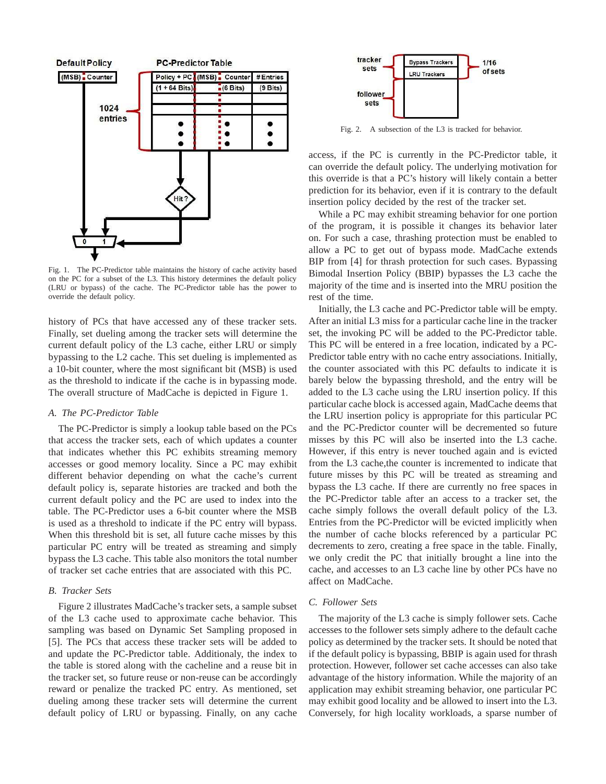

Fig. 1. The PC-Predictor table maintains the history of cache activity based on the PC for a subset of the L3. This history determines the default policy (LRU or bypass) of the cache. The PC-Predictor table has the power to override the default policy.

history of PCs that have accessed any of these tracker sets. Finally, set dueling among the tracker sets will determine the current default policy of the L3 cache, either LRU or simply bypassing to the L2 cache. This set dueling is implemented as a 10-bit counter, where the most significant bit (MSB) is used as the threshold to indicate if the cache is in bypassing mode. The overall structure of MadCache is depicted in Figure 1.

#### *A. The PC-Predictor Table*

The PC-Predictor is simply a lookup table based on the PCs that access the tracker sets, each of which updates a counter that indicates whether this PC exhibits streaming memory accesses or good memory locality. Since a PC may exhibit different behavior depending on what the cache's current default policy is, separate histories are tracked and both the current default policy and the PC are used to index into the table. The PC-Predictor uses a 6-bit counter where the MSB is used as a threshold to indicate if the PC entry will bypass. When this threshold bit is set, all future cache misses by this particular PC entry will be treated as streaming and simply bypass the L3 cache. This table also monitors the total number of tracker set cache entries that are associated with this PC.

#### *B. Tracker Sets*

Figure 2 illustrates MadCache's tracker sets, a sample subset of the L3 cache used to approximate cache behavior. This sampling was based on Dynamic Set Sampling proposed in [5]. The PCs that access these tracker sets will be added to and update the PC-Predictor table. Additionaly, the index to the table is stored along with the cacheline and a reuse bit in the tracker set, so future reuse or non-reuse can be accordingly reward or penalize the tracked PC entry. As mentioned, set dueling among these tracker sets will determine the current default policy of LRU or bypassing. Finally, on any cache



Fig. 2. A subsection of the L3 is tracked for behavior.

access, if the PC is currently in the PC-Predictor table, it can override the default policy. The underlying motivation for this override is that a PC's history will likely contain a better prediction for its behavior, even if it is contrary to the default insertion policy decided by the rest of the tracker set.

While a PC may exhibit streaming behavior for one portion of the program, it is possible it changes its behavior later on. For such a case, thrashing protection must be enabled to allow a PC to get out of bypass mode. MadCache extends BIP from [4] for thrash protection for such cases. Bypassing Bimodal Insertion Policy (BBIP) bypasses the L3 cache the majority of the time and is inserted into the MRU position the rest of the time.

Initially, the L3 cache and PC-Predictor table will be empty. After an initial L3 miss for a particular cache line in the tracker set, the invoking PC will be added to the PC-Predictor table. This PC will be entered in a free location, indicated by a PC-Predictor table entry with no cache entry associations. Initially, the counter associated with this PC defaults to indicate it is barely below the bypassing threshold, and the entry will be added to the L3 cache using the LRU insertion policy. If this particular cache block is accessed again, MadCache deems that the LRU insertion policy is appropriate for this particular PC and the PC-Predictor counter will be decremented so future misses by this PC will also be inserted into the L3 cache. However, if this entry is never touched again and is evicted from the L3 cache,the counter is incremented to indicate that future misses by this PC will be treated as streaming and bypass the L3 cache. If there are currently no free spaces in the PC-Predictor table after an access to a tracker set, the cache simply follows the overall default policy of the L3. Entries from the PC-Predictor will be evicted implicitly when the number of cache blocks referenced by a particular PC decrements to zero, creating a free space in the table. Finally, we only credit the PC that initially brought a line into the cache, and accesses to an L3 cache line by other PCs have no affect on MadCache.

#### *C. Follower Sets*

The majority of the L3 cache is simply follower sets. Cache accesses to the follower sets simply adhere to the default cache policy as determined by the tracker sets. It should be noted that if the default policy is bypassing, BBIP is again used for thrash protection. However, follower set cache accesses can also take advantage of the history information. While the majority of an application may exhibit streaming behavior, one particular PC may exhibit good locality and be allowed to insert into the L3. Conversely, for high locality workloads, a sparse number of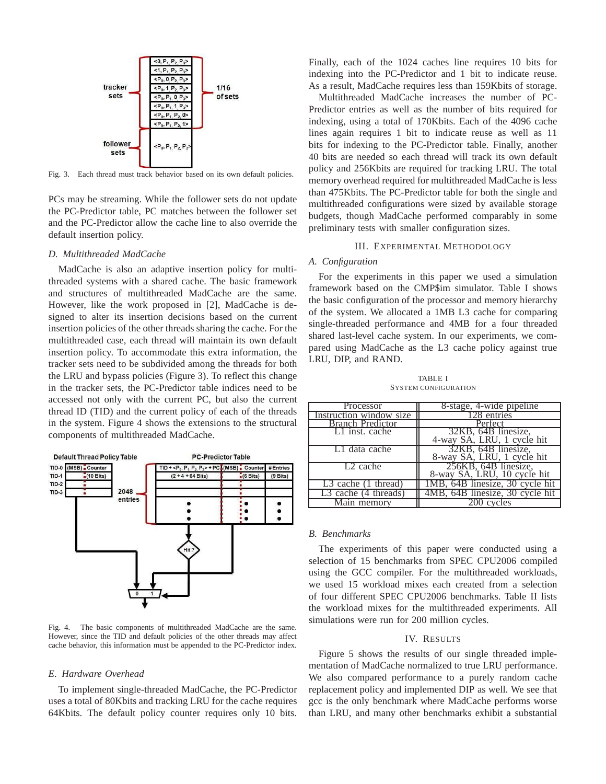

Fig. 3. Each thread must track behavior based on its own default policies.

PCs may be streaming. While the follower sets do not update the PC-Predictor table, PC matches between the follower set and the PC-Predictor allow the cache line to also override the default insertion policy.

#### *D. Multithreaded MadCache*

MadCache is also an adaptive insertion policy for multithreaded systems with a shared cache. The basic framework and structures of multithreaded MadCache are the same. However, like the work proposed in [2], MadCache is designed to alter its insertion decisions based on the current insertion policies of the other threads sharing the cache. For the multithreaded case, each thread will maintain its own default insertion policy. To accommodate this extra information, the tracker sets need to be subdivided among the threads for both the LRU and bypass policies (Figure 3). To reflect this change in the tracker sets, the PC-Predictor table indices need to be accessed not only with the current PC, but also the current thread ID (TID) and the current policy of each of the threads in the system. Figure 4 shows the extensions to the structural components of multithreaded MadCache.



Fig. 4. The basic components of multithreaded MadCache are the same. However, since the TID and default policies of the other threads may affect cache behavior, this information must be appended to the PC-Predictor index.

#### *E. Hardware Overhead*

To implement single-threaded MadCache, the PC-Predictor uses a total of 80Kbits and tracking LRU for the cache requires 64Kbits. The default policy counter requires only 10 bits.

Finally, each of the 1024 caches line requires 10 bits for indexing into the PC-Predictor and 1 bit to indicate reuse. As a result, MadCache requires less than 159Kbits of storage.

Multithreaded MadCache increases the number of PC-Predictor entries as well as the number of bits required for indexing, using a total of 170Kbits. Each of the 4096 cache lines again requires 1 bit to indicate reuse as well as 11 bits for indexing to the PC-Predictor table. Finally, another 40 bits are needed so each thread will track its own default policy and 256Kbits are required for tracking LRU. The total memory overhead required for multithreaded MadCache is less than 475Kbits. The PC-Predictor table for both the single and multithreaded configurations were sized by available storage budgets, though MadCache performed comparably in some preliminary tests with smaller configuration sizes.

#### III. EXPERIMENTAL METHODOLOGY

#### *A. Configuration*

For the experiments in this paper we used a simulation framework based on the CMP\$im simulator. Table I shows the basic configuration of the processor and memory hierarchy of the system. We allocated a 1MB L3 cache for comparing single-threaded performance and 4MB for a four threaded shared last-level cache system. In our experiments, we compared using MadCache as the L3 cache policy against true LRU, DIP, and RAND.

TABLE I SYSTEM CONFIGURATION

| Processor                     | 8-stage, 4-wide pipeline        |
|-------------------------------|---------------------------------|
| Instruction window size       | 128 entries                     |
| <b>Branch Predictor</b>       | Perfect                         |
| $L1$ inst. cache              | 32KB, 64B linesize,             |
|                               | 4-way SA, LRU, 1 cycle hit      |
| L1 data cache                 | 32KB, 64B linesize,             |
|                               | 8-way SA, LRU, 1 cycle hit      |
| L <sub>2</sub> cache          | 256KB, 64B linesize,            |
|                               | 8-way SA, LRU, 10 cycle hit     |
| L3 cache $(1 \text{ thread})$ | 1MB, 64B linesize, 30 cycle hit |
| L3 cache (4 threads)          | 4MB, 64B linesize, 30 cycle hit |
| Main memory                   | 200 cycles                      |
|                               |                                 |

#### *B. Benchmarks*

The experiments of this paper were conducted using a selection of 15 benchmarks from SPEC CPU2006 compiled using the GCC compiler. For the multithreaded workloads, we used 15 workload mixes each created from a selection of four different SPEC CPU2006 benchmarks. Table II lists the workload mixes for the multithreaded experiments. All simulations were run for 200 million cycles.

#### IV. RESULTS

Figure 5 shows the results of our single threaded implementation of MadCache normalized to true LRU performance. We also compared performance to a purely random cache replacement policy and implemented DIP as well. We see that gcc is the only benchmark where MadCache performs worse than LRU, and many other benchmarks exhibit a substantial